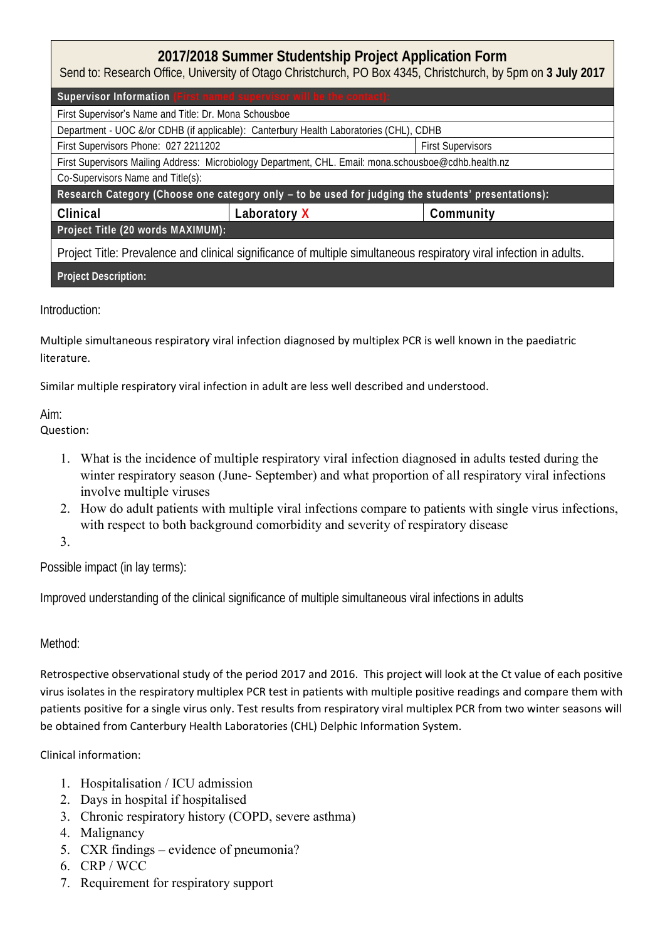# **2017/2018 Summer Studentship Project Application Form**

Send to: Research Office, University of Otago Christchurch, PO Box 4345, Christchurch, by 5pm on **3 July 2017**

| Supervisor Information (First named supervisor will be the contact):                                  |                                                                                                                     |                          |
|-------------------------------------------------------------------------------------------------------|---------------------------------------------------------------------------------------------------------------------|--------------------------|
| First Supervisor's Name and Title: Dr. Mona Schousboe                                                 |                                                                                                                     |                          |
| Department - UOC &/or CDHB (if applicable): Canterbury Health Laboratories (CHL), CDHB                |                                                                                                                     |                          |
| First Supervisors Phone: 027 2211202                                                                  |                                                                                                                     | <b>First Supervisors</b> |
| First Supervisors Mailing Address: Microbiology Department, CHL. Email: mona.schousboe@cdhb.health.nz |                                                                                                                     |                          |
| Co-Supervisors Name and Title(s):                                                                     |                                                                                                                     |                          |
| Research Category (Choose one category only - to be used for judging the students' presentations):    |                                                                                                                     |                          |
|                                                                                                       |                                                                                                                     |                          |
| Clinical                                                                                              | Laboratory X                                                                                                        | Community                |
| Project Title (20 words MAXIMUM):                                                                     |                                                                                                                     |                          |
|                                                                                                       | Project Title: Prevalence and clinical significance of multiple simultaneous respiratory viral infection in adults. |                          |

## Introduction:

Multiple simultaneous respiratory viral infection diagnosed by multiplex PCR is well known in the paediatric literature.

Similar multiple respiratory viral infection in adult are less well described and understood.

### Aim:

## Question:

- 1. What is the incidence of multiple respiratory viral infection diagnosed in adults tested during the winter respiratory season (June- September) and what proportion of all respiratory viral infections involve multiple viruses
- 2. How do adult patients with multiple viral infections compare to patients with single virus infections, with respect to both background comorbidity and severity of respiratory disease

## 3.

Possible impact (in lay terms):

Improved understanding of the clinical significance of multiple simultaneous viral infections in adults

## Method:

Retrospective observational study of the period 2017 and 2016. This project will look at the Ct value of each positive virus isolates in the respiratory multiplex PCR test in patients with multiple positive readings and compare them with patients positive for a single virus only. Test results from respiratory viral multiplex PCR from two winter seasons will be obtained from Canterbury Health Laboratories (CHL) Delphic Information System.

## Clinical information:

- 1. Hospitalisation / ICU admission
- 2. Days in hospital if hospitalised
- 3. Chronic respiratory history (COPD, severe asthma)
- 4. Malignancy
- 5. CXR findings evidence of pneumonia?
- 6. CRP / WCC
- 7. Requirement for respiratory support